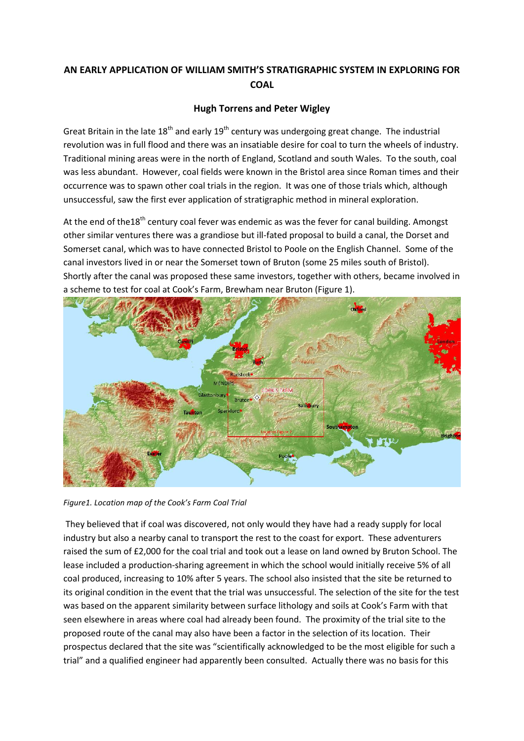## **AN EARLY APPLICATION OF WILLIAM SMITH'S STRATIGRAPHIC SYSTEM IN EXPLORING FOR COAL**

## **Hugh Torrens and Peter Wigley**

Great Britain in the late  $18<sup>th</sup>$  and early  $19<sup>th</sup>$  century was undergoing great change. The industrial revolution was in full flood and there was an insatiable desire for coal to turn the wheels of industry. Traditional mining areas were in the north of England, Scotland and south Wales. To the south, coal was less abundant. However, coal fields were known in the Bristol area since Roman times and their occurrence was to spawn other coal trials in the region. It was one of those trials which, although unsuccessful, saw the first ever application of stratigraphic method in mineral exploration.

At the end of the18<sup>th</sup> century coal fever was endemic as was the fever for canal building. Amongst other similar ventures there was a grandiose but ill-fated proposal to build a canal, the Dorset and Somerset canal, which was to have connected Bristol to Poole on the English Channel. Some of the canal investors lived in or near the Somerset town of Bruton (some 25 miles south of Bristol). Shortly after the canal was proposed these same investors, together with others, became involved in a scheme to test for coal at Cook's Farm, Brewham near Bruton (Figure 1).



*Figure1. Location map of the Cook's Farm Coal Trial*

They believed that if coal was discovered, not only would they have had a ready supply for local industry but also a nearby canal to transport the rest to the coast for export. These adventurers raised the sum of £2,000 for the coal trial and took out a lease on land owned by Bruton School. The lease included a production-sharing agreement in which the school would initially receive 5% of all coal produced, increasing to 10% after 5 years. The school also insisted that the site be returned to its original condition in the event that the trial was unsuccessful. The selection of the site for the test was based on the apparent similarity between surface lithology and soils at Cook's Farm with that seen elsewhere in areas where coal had already been found. The proximity of the trial site to the proposed route of the canal may also have been a factor in the selection of its location. Their prospectus declared that the site was "scientifically acknowledged to be the most eligible for such a trial" and a qualified engineer had apparently been consulted. Actually there was no basis for this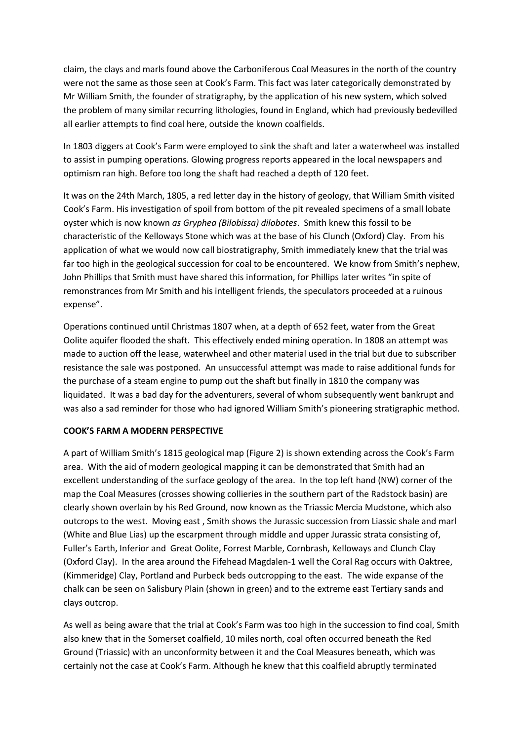claim, the clays and marls found above the Carboniferous Coal Measures in the north of the country were not the same as those seen at Cook's Farm. This fact was later categorically demonstrated by Mr William Smith, the founder of stratigraphy, by the application of his new system, which solved the problem of many similar recurring lithologies, found in England, which had previously bedevilled all earlier attempts to find coal here, outside the known coalfields.

In 1803 diggers at Cook's Farm were employed to sink the shaft and later a waterwheel was installed to assist in pumping operations. Glowing progress reports appeared in the local newspapers and optimism ran high. Before too long the shaft had reached a depth of 120 feet.

It was on the 24th March, 1805, a red letter day in the history of geology, that William Smith visited Cook's Farm. His investigation of spoil from bottom of the pit revealed specimens of a small lobate oyster which is now known *as Gryphea (Bilobissa) dilobotes*. Smith knew this fossil to be characteristic of the Kelloways Stone which was at the base of his Clunch (Oxford) Clay. From his application of what we would now call biostratigraphy, Smith immediately knew that the trial was far too high in the geological succession for coal to be encountered. We know from Smith's nephew, John Phillips that Smith must have shared this information, for Phillips later writes "in spite of remonstrances from Mr Smith and his intelligent friends, the speculators proceeded at a ruinous expense".

Operations continued until Christmas 1807 when, at a depth of 652 feet, water from the Great Oolite aquifer flooded the shaft. This effectively ended mining operation. In 1808 an attempt was made to auction off the lease, waterwheel and other material used in the trial but due to subscriber resistance the sale was postponed. An unsuccessful attempt was made to raise additional funds for the purchase of a steam engine to pump out the shaft but finally in 1810 the company was liquidated. It was a bad day for the adventurers, several of whom subsequently went bankrupt and was also a sad reminder for those who had ignored William Smith's pioneering stratigraphic method.

## **COOK'S FARM A MODERN PERSPECTIVE**

A part of William Smith's 1815 geological map (Figure 2) is shown extending across the Cook's Farm area. With the aid of modern geological mapping it can be demonstrated that Smith had an excellent understanding of the surface geology of the area. In the top left hand (NW) corner of the map the Coal Measures (crosses showing collieries in the southern part of the Radstock basin) are clearly shown overlain by his Red Ground, now known as the Triassic Mercia Mudstone, which also outcrops to the west. Moving east , Smith shows the Jurassic succession from Liassic shale and marl (White and Blue Lias) up the escarpment through middle and upper Jurassic strata consisting of, Fuller's Earth, Inferior and Great Oolite, Forrest Marble, Cornbrash, Kelloways and Clunch Clay (Oxford Clay). In the area around the Fifehead Magdalen-1 well the Coral Rag occurs with Oaktree, (Kimmeridge) Clay, Portland and Purbeck beds outcropping to the east. The wide expanse of the chalk can be seen on Salisbury Plain (shown in green) and to the extreme east Tertiary sands and clays outcrop.

As well as being aware that the trial at Cook's Farm was too high in the succession to find coal, Smith also knew that in the Somerset coalfield, 10 miles north, coal often occurred beneath the Red Ground (Triassic) with an unconformity between it and the Coal Measures beneath, which was certainly not the case at Cook's Farm. Although he knew that this coalfield abruptly terminated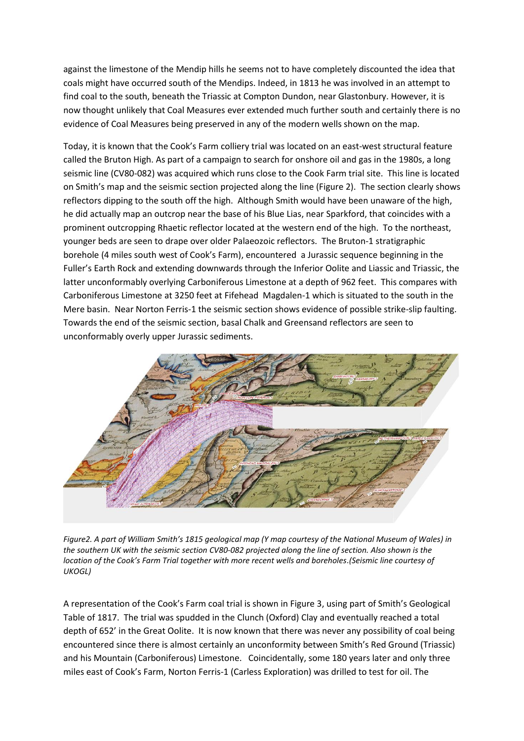against the limestone of the Mendip hills he seems not to have completely discounted the idea that coals might have occurred south of the Mendips. Indeed, in 1813 he was involved in an attempt to find coal to the south, beneath the Triassic at Compton Dundon, near Glastonbury. However, it is now thought unlikely that Coal Measures ever extended much further south and certainly there is no evidence of Coal Measures being preserved in any of the modern wells shown on the map.

Today, it is known that the Cook's Farm colliery trial was located on an east-west structural feature called the Bruton High. As part of a campaign to search for onshore oil and gas in the 1980s, a long seismic line (CV80-082) was acquired which runs close to the Cook Farm trial site. This line is located on Smith's map and the seismic section projected along the line (Figure 2). The section clearly shows reflectors dipping to the south off the high. Although Smith would have been unaware of the high, he did actually map an outcrop near the base of his Blue Lias, near Sparkford, that coincides with a prominent outcropping Rhaetic reflector located at the western end of the high. To the northeast, younger beds are seen to drape over older Palaeozoic reflectors. The Bruton-1 stratigraphic borehole (4 miles south west of Cook's Farm), encountered a Jurassic sequence beginning in the Fuller's Earth Rock and extending downwards through the Inferior Oolite and Liassic and Triassic, the latter unconformably overlying Carboniferous Limestone at a depth of 962 feet. This compares with Carboniferous Limestone at 3250 feet at Fifehead Magdalen-1 which is situated to the south in the Mere basin. Near Norton Ferris-1 the seismic section shows evidence of possible strike-slip faulting. Towards the end of the seismic section, basal Chalk and Greensand reflectors are seen to unconformably overly upper Jurassic sediments.



*Figure2. A part of William Smith's 1815 geological map (Y map courtesy of the National Museum of Wales) in the southern UK with the seismic section CV80-082 projected along the line of section. Also shown is the location of the Cook's Farm Trial together with more recent wells and boreholes.(Seismic line courtesy of UKOGL)*

A representation of the Cook's Farm coal trial is shown in Figure 3, using part of Smith's Geological Table of 1817. The trial was spudded in the Clunch (Oxford) Clay and eventually reached a total depth of 652' in the Great Oolite. It is now known that there was never any possibility of coal being encountered since there is almost certainly an unconformity between Smith's Red Ground (Triassic) and his Mountain (Carboniferous) Limestone. Coincidentally, some 180 years later and only three miles east of Cook's Farm, Norton Ferris-1 (Carless Exploration) was drilled to test for oil. The